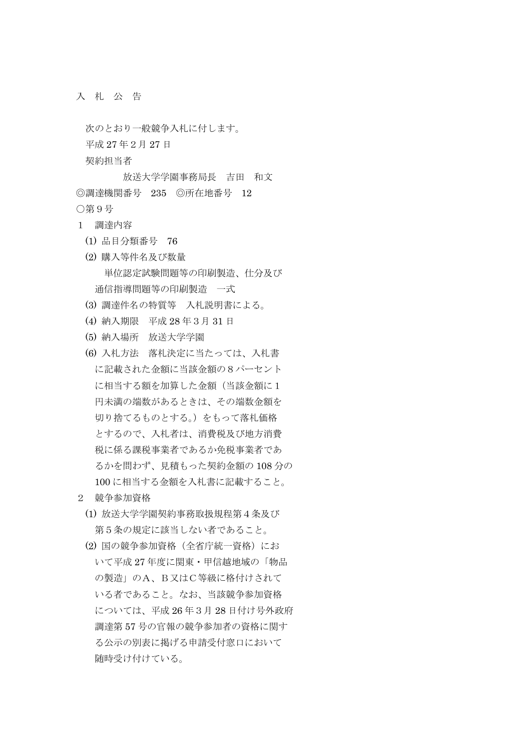入 札 公 告

次のとおり一般競争入札に付します。 平成 27 年2月 27 日 契約担当者 放送大学学園事務局長 吉田 和文

◎調達機関番号 235 ◎所在地番号 12 ○第9号

- 1 調達内容
	- (1) 品目分類番号 76
	- (2) 購入等件名及び数量 単位認定試験問題等の印刷製造、仕分及び 通信指導問題等の印刷製造 一式
	- (3) 調達件名の特質等 入札説明書による。
	- (4) 納入期限 平成 28 年3月 31 日
	- (5) 納入場所 放送大学学園
	- (6) 入札方法 落札決定に当たっては、入札書 に記載された金額に当該金額の8パーセント に相当する額を加算した金額(当該金額に1 円未満の端数があるときは、その端数金額を 切り捨てるものとする。)をもって落札価格 とするので、入札者は、消費税及び地方消費 税に係る課税事業者であるか免税事業者であ るかを問わず、見積もった契約金額の 108 分の 100 に相当する金額を入札書に記載すること。
- 2 競争参加資格
	- (1) 放送大学学園契約事務取扱規程第4条及び 第5条の規定に該当しない者であること。
	- (2) 国の競争参加資格(全省庁統一資格)にお いて平成 27 年度に関東・甲信越地域の「物品 の製造」のA、B又はC等級に格付けされて いる者であること。なお、当該競争参加資格 については、平成 26 年3月 28 日付け号外政府 調達第 57 号の官報の競争参加者の資格に関す る公示の別表に掲げる申請受付窓口において 随時受け付けている。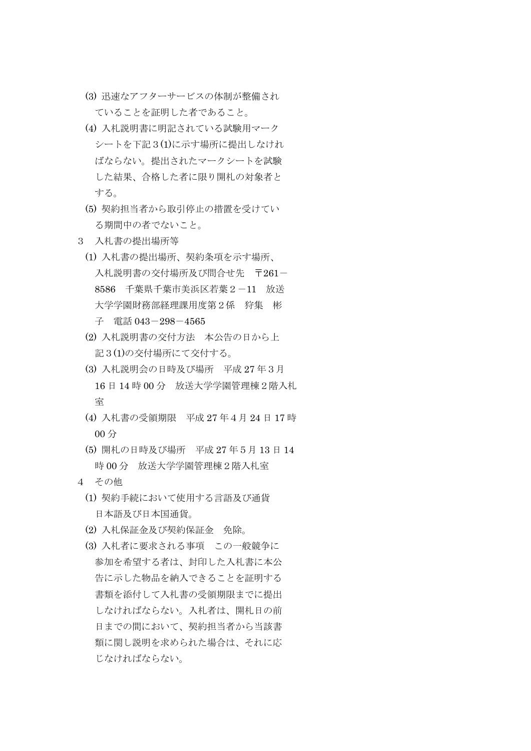- (3) 迅速なアフターサービスの体制が整備され ていることを証明した者であること。
- (4) 入札説明書に明記されている試験用マーク シートを下記3(1)に示す場所に提出しなけれ ばならない。提出されたマークシートを試験 した結果、合格した者に限り開札の対象者と する。
- (5) 契約担当者から取引停止の措置を受けてい る期間中の者でないこと。
- 3 入札書の提出場所等
	- (1) 入札書の提出場所、契約条項を示す場所、 入札説明書の交付場所及び間合せ先 〒261- 8586 千葉県千葉市美浜区若葉2-11 放送 大学学園財務部経理課用度第2係 狩集 彬 子 電話 043-298-4565
	- (2) 入札説明書の交付方法 本公告の日から上 記3(1)の交付場所にて交付する。
	- (3) 入札説明会の日時及び場所 平成 27 年3月 16 日 14 時 00 分 放送大学学園管理棟2階入札 室
	- (4) 入札書の受領期限 平成 27 年4月 24 日 17 時 00 分
	- (5) 開札の日時及び場所 平成 27 年5月 13 日 14 時 00 分 放送大学学園管理棟2階入札室
- 4 その他
	- (1) 契約手続において使用する言語及び通貨 日本語及び日本国通貨。
	- (2) 入札保証金及び契約保証金 免除。
	- (3) 入札者に要求される事項 この一般競争に 参加を希望する者は、封印した入札書に本公 告に示した物品を納入できることを証明する 書類を添付して入札書の受領期限までに提出 しなければならない。入札者は、開札日の前 日までの間において、契約担当者から当該書 類に関し説明を求められた場合は、それに応 じなければならない。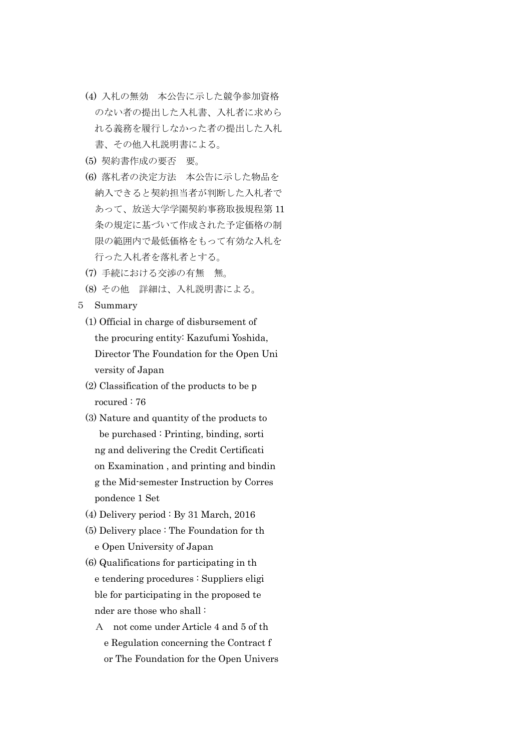- (4) 入札の無効 本公告に示した競争参加資格 のない者の提出した入札書、入札者に求めら れる義務を履行しなかった者の提出した入札 書、その他入札説明書による。
- (5) 契約書作成の要否 要。
- (6) 落札者の決定方法 本公告に示した物品を 納入できると契約担当者が判断した入札者で あって、放送大学学園契約事務取扱規程第 11 条の規定に基づいて作成された予定価格の制 限の範囲内で最低価格をもって有効な入札を 行った入札者を落札者とする。
- (7) 手続における交渉の有無 無。
- (8) その他 詳細は、入札説明書による。
- 5 Summary
	- (1) Official in charge of disbursement of the procuring entity: Kazufumi Yoshida, Director The Foundation for the Open Uni versity of Japan
	- (2) Classification of the products to be p rocured : 76
	- (3) Nature and quantity of the products to be purchased : Printing, binding, sorti ng and delivering the Credit Certificati on Examination , and printing and bindin g the Mid-semester Instruction by Corres pondence 1 Set
	- (4) Delivery period : By 31 March, 2016
	- (5) Delivery place : The Foundation for th e Open University of Japan
	- (6) Qualifications for participating in th e tendering procedures : Suppliers eligi ble for participating in the proposed te nder are those who shall :
		- A not come under Article 4 and 5 of th e Regulation concerning the Contract f or The Foundation for the Open Univers